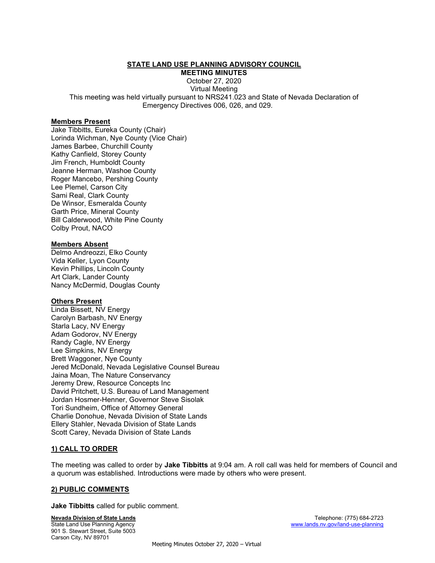## STATE LAND USE PLANNING ADVISORY COUNCIL

MEETING MINUTES

October 27, 2020 Virtual Meeting This meeting was held virtually pursuant to NRS241.023 and State of Nevada Declaration of Emergency Directives 006, 026, and 029.

#### Members Present

Jake Tibbitts, Eureka County (Chair) Lorinda Wichman, Nye County (Vice Chair) James Barbee, Churchill County Kathy Canfield, Storey County Jim French, Humboldt County Jeanne Herman, Washoe County Roger Mancebo, Pershing County Lee Plemel, Carson City Sami Real, Clark County De Winsor, Esmeralda County Garth Price, Mineral County Bill Calderwood, White Pine County Colby Prout, NACO

## Members Absent

Delmo Andreozzi, Elko County Vida Keller, Lyon County Kevin Phillips, Lincoln County Art Clark, Lander County Nancy McDermid, Douglas County

# **Others Present**

Linda Bissett, NV Energy Carolyn Barbash, NV Energy Starla Lacy, NV Energy Adam Godorov, NV Energy Randy Cagle, NV Energy Lee Simpkins, NV Energy Brett Waggoner, Nye County Jered McDonald, Nevada Legislative Counsel Bureau Jaina Moan, The Nature Conservancy Jeremy Drew, Resource Concepts Inc David Pritchett, U.S. Bureau of Land Management Jordan Hosmer-Henner, Governor Steve Sisolak Tori Sundheim, Office of Attorney General Charlie Donohue, Nevada Division of State Lands Ellery Stahler, Nevada Division of State Lands Scott Carey, Nevada Division of State Lands

# 1) CALL TO ORDER

The meeting was called to order by Jake Tibbitts at 9:04 am. A roll call was held for members of Council and a quorum was established. Introductions were made by others who were present.

# 2) PUBLIC COMMENTS

Jake Tibbitts called for public comment.

Nevada Division of State Lands **Telephone:** (775) 684-2723 State Land Use Planning Agency www.lands.nv.gov/land-use-planning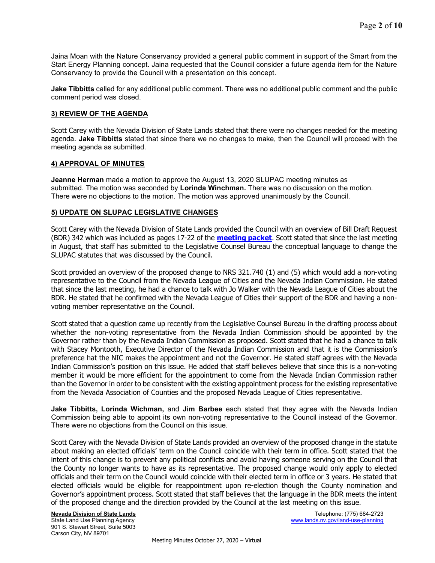Jaina Moan with the Nature Conservancy provided a general public comment in support of the Smart from the Start Energy Planning concept. Jaina requested that the Council consider a future agenda item for the Nature Conservancy to provide the Council with a presentation on this concept.

Jake Tibbitts called for any additional public comment. There was no additional public comment and the public comment period was closed.

## 3) REVIEW OF THE AGENDA

Scott Carey with the Nevada Division of State Lands stated that there were no changes needed for the meeting agenda. Jake Tibbitts stated that since there we no changes to make, then the Council will proceed with the meeting agenda as submitted.

#### 4) APPROVAL OF MINUTES

**Jeanne Herman** made a motion to approve the August 13, 2020 SLUPAC meeting minutes as submitted. The motion was seconded by Lorinda Winchman. There was no discussion on the motion. There were no objections to the motion. The motion was approved unanimously by the Council.

#### 5) UPDATE ON SLUPAC LEGISLATIVE CHANGES

Scott Carey with the Nevada Division of State Lands provided the Council with an overview of Bill Draft Request (BDR) 342 which was included as pages 17-22 of the **[meeting packet](https://lands.nv.gov/uploads/meeting_minutes/E2021-100.pdf)**. Scott stated that since the last meeting in August, that staff has submitted to the Legislative Counsel Bureau the conceptual language to change the SLUPAC statutes that was discussed by the Council.

Scott provided an overview of the proposed change to NRS 321.740 (1) and (5) which would add a non-voting representative to the Council from the Nevada League of Cities and the Nevada Indian Commission. He stated that since the last meeting, he had a chance to talk with Jo Walker with the Nevada League of Cities about the BDR. He stated that he confirmed with the Nevada League of Cities their support of the BDR and having a nonvoting member representative on the Council.

Scott stated that a question came up recently from the Legislative Counsel Bureau in the drafting process about whether the non-voting representative from the Nevada Indian Commission should be appointed by the Governor rather than by the Nevada Indian Commission as proposed. Scott stated that he had a chance to talk with Stacey Montooth, Executive Director of the Nevada Indian Commission and that it is the Commission's preference hat the NIC makes the appointment and not the Governor. He stated staff agrees with the Nevada Indian Commission's position on this issue. He added that staff believes believe that since this is a non-voting member it would be more efficient for the appointment to come from the Nevada Indian Commission rather than the Governor in order to be consistent with the existing appointment process for the existing representative from the Nevada Association of Counties and the proposed Nevada League of Cities representative.

Jake Tibbitts, Lorinda Wichman, and Jim Barbee each stated that they agree with the Nevada Indian Commission being able to appoint its own non-voting representative to the Council instead of the Governor. There were no objections from the Council on this issue.

Scott Carey with the Nevada Division of State Lands provided an overview of the proposed change in the statute about making an elected officials' term on the Council coincide with their term in office. Scott stated that the intent of this change is to prevent any political conflicts and avoid having someone serving on the Council that the County no longer wants to have as its representative. The proposed change would only apply to elected officials and their term on the Council would coincide with their elected term in office or 3 years. He stated that elected officials would be eligible for reappointment upon re-election though the County nomination and Governor's appointment process. Scott stated that staff believes that the language in the BDR meets the intent of the proposed change and the direction provided by the Council at the last meeting on this issue.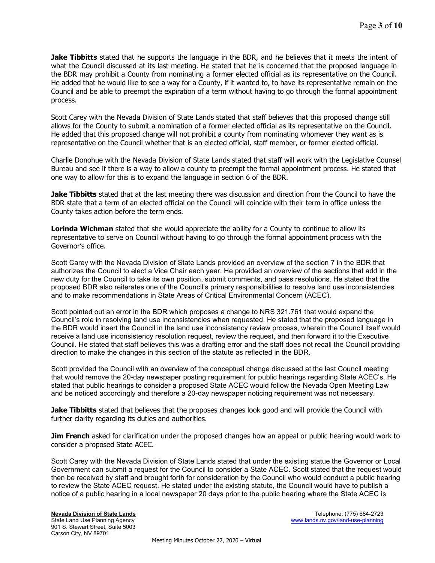Jake Tibbitts stated that he supports the language in the BDR, and he believes that it meets the intent of what the Council discussed at its last meeting. He stated that he is concerned that the proposed language in the BDR may prohibit a County from nominating a former elected official as its representative on the Council. He added that he would like to see a way for a County, if it wanted to, to have its representative remain on the Council and be able to preempt the expiration of a term without having to go through the formal appointment process.

Scott Carey with the Nevada Division of State Lands stated that staff believes that this proposed change still allows for the County to submit a nomination of a former elected official as its representative on the Council. He added that this proposed change will not prohibit a county from nominating whomever they want as is representative on the Council whether that is an elected official, staff member, or former elected official.

Charlie Donohue with the Nevada Division of State Lands stated that staff will work with the Legislative Counsel Bureau and see if there is a way to allow a county to preempt the formal appointment process. He stated that one way to allow for this is to expand the language in section 6 of the BDR.

**Jake Tibbitts** stated that at the last meeting there was discussion and direction from the Council to have the BDR state that a term of an elected official on the Council will coincide with their term in office unless the County takes action before the term ends.

**Lorinda Wichman** stated that she would appreciate the ability for a County to continue to allow its representative to serve on Council without having to go through the formal appointment process with the Governor's office.

Scott Carey with the Nevada Division of State Lands provided an overview of the section 7 in the BDR that authorizes the Council to elect a Vice Chair each year. He provided an overview of the sections that add in the new duty for the Council to take its own position, submit comments, and pass resolutions. He stated that the proposed BDR also reiterates one of the Council's primary responsibilities to resolve land use inconsistencies and to make recommendations in State Areas of Critical Environmental Concern (ACEC).

Scott pointed out an error in the BDR which proposes a change to NRS 321.761 that would expand the Council's role in resolving land use inconsistencies when requested. He stated that the proposed language in the BDR would insert the Council in the land use inconsistency review process, wherein the Council itself would receive a land use inconsistency resolution request, review the request, and then forward it to the Executive Council. He stated that staff believes this was a drafting error and the staff does not recall the Council providing direction to make the changes in this section of the statute as reflected in the BDR.

Scott provided the Council with an overview of the conceptual change discussed at the last Council meeting that would remove the 20-day newspaper posting requirement for public hearings regarding State ACEC's. He stated that public hearings to consider a proposed State ACEC would follow the Nevada Open Meeting Law and be noticed accordingly and therefore a 20-day newspaper noticing requirement was not necessary.

Jake Tibbitts stated that believes that the proposes changes look good and will provide the Council with further clarity regarding its duties and authorities.

**Jim French** asked for clarification under the proposed changes how an appeal or public hearing would work to consider a proposed State ACEC.

Scott Carey with the Nevada Division of State Lands stated that under the existing statue the Governor or Local Government can submit a request for the Council to consider a State ACEC. Scott stated that the request would then be received by staff and brought forth for consideration by the Council who would conduct a public hearing to review the State ACEC request. He stated under the existing statute, the Council would have to publish a notice of a public hearing in a local newspaper 20 days prior to the public hearing where the State ACEC is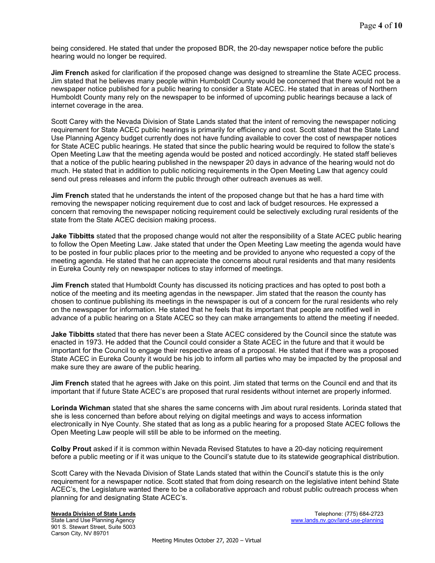being considered. He stated that under the proposed BDR, the 20-day newspaper notice before the public hearing would no longer be required.

**Jim French** asked for clarification if the proposed change was designed to streamline the State ACEC process. Jim stated that he believes many people within Humboldt County would be concerned that there would not be a newspaper notice published for a public hearing to consider a State ACEC. He stated that in areas of Northern Humboldt County many rely on the newspaper to be informed of upcoming public hearings because a lack of internet coverage in the area.

Scott Carey with the Nevada Division of State Lands stated that the intent of removing the newspaper noticing requirement for State ACEC public hearings is primarily for efficiency and cost. Scott stated that the State Land Use Planning Agency budget currently does not have funding available to cover the cost of newspaper notices for State ACEC public hearings. He stated that since the public hearing would be required to follow the state's Open Meeting Law that the meeting agenda would be posted and noticed accordingly. He stated staff believes that a notice of the public hearing published in the newspaper 20 days in advance of the hearing would not do much. He stated that in addition to public noticing requirements in the Open Meeting Law that agency could send out press releases and inform the public through other outreach avenues as well.

**Jim French** stated that he understands the intent of the proposed change but that he has a hard time with removing the newspaper noticing requirement due to cost and lack of budget resources. He expressed a concern that removing the newspaper noticing requirement could be selectively excluding rural residents of the state from the State ACEC decision making process.

**Jake Tibbitts** stated that the proposed change would not alter the responsibility of a State ACEC public hearing to follow the Open Meeting Law. Jake stated that under the Open Meeting Law meeting the agenda would have to be posted in four public places prior to the meeting and be provided to anyone who requested a copy of the meeting agenda. He stated that he can appreciate the concerns about rural residents and that many residents in Eureka County rely on newspaper notices to stay informed of meetings.

Jim French stated that Humboldt County has discussed its noticing practices and has opted to post both a notice of the meeting and its meeting agendas in the newspaper. Jim stated that the reason the county has chosen to continue publishing its meetings in the newspaper is out of a concern for the rural residents who rely on the newspaper for information. He stated that he feels that its important that people are notified well in advance of a public hearing on a State ACEC so they can make arrangements to attend the meeting if needed.

**Jake Tibbitts** stated that there has never been a State ACEC considered by the Council since the statute was enacted in 1973. He added that the Council could consider a State ACEC in the future and that it would be important for the Council to engage their respective areas of a proposal. He stated that if there was a proposed State ACEC in Eureka County it would be his job to inform all parties who may be impacted by the proposal and make sure they are aware of the public hearing.

Jim French stated that he agrees with Jake on this point. Jim stated that terms on the Council end and that its important that if future State ACEC's are proposed that rural residents without internet are properly informed.

Lorinda Wichman stated that she shares the same concerns with Jim about rural residents. Lorinda stated that she is less concerned than before about relying on digital meetings and ways to access information electronically in Nye County. She stated that as long as a public hearing for a proposed State ACEC follows the Open Meeting Law people will still be able to be informed on the meeting.

Colby Prout asked if it is common within Nevada Revised Statutes to have a 20-day noticing requirement before a public meeting or if it was unique to the Council's statute due to its statewide geographical distribution.

Scott Carey with the Nevada Division of State Lands stated that within the Council's statute this is the only requirement for a newspaper notice. Scott stated that from doing research on the legislative intent behind State ACEC's, the Legislature wanted there to be a collaborative approach and robust public outreach process when planning for and designating State ACEC's.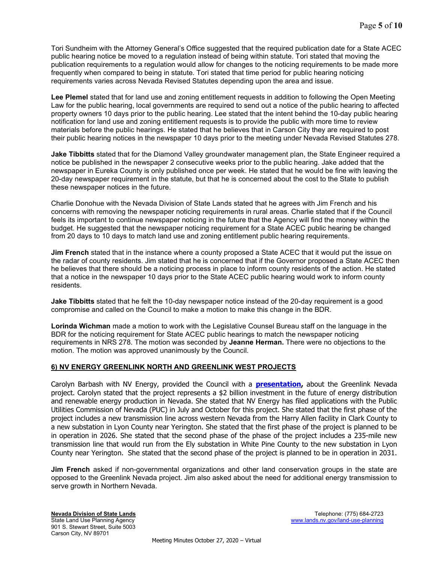Tori Sundheim with the Attorney General's Office suggested that the required publication date for a State ACEC public hearing notice be moved to a regulation instead of being within statute. Tori stated that moving the publication requirements to a regulation would allow for changes to the noticing requirements to be made more frequently when compared to being in statute. Tori stated that time period for public hearing noticing requirements varies across Nevada Revised Statutes depending upon the area and issue.

Lee Plemel stated that for land use and zoning entitlement requests in addition to following the Open Meeting Law for the public hearing, local governments are required to send out a notice of the public hearing to affected property owners 10 days prior to the public hearing. Lee stated that the intent behind the 10-day public hearing notification for land use and zoning entitlement requests is to provide the public with more time to review materials before the public hearings. He stated that he believes that in Carson City they are required to post their public hearing notices in the newspaper 10 days prior to the meeting under Nevada Revised Statutes 278.

Jake Tibbitts stated that for the Diamond Valley groundwater management plan, the State Engineer required a notice be published in the newspaper 2 consecutive weeks prior to the public hearing. Jake added that the newspaper in Eureka County is only published once per week. He stated that he would be fine with leaving the 20-day newspaper requirement in the statute, but that he is concerned about the cost to the State to publish these newspaper notices in the future.

Charlie Donohue with the Nevada Division of State Lands stated that he agrees with Jim French and his concerns with removing the newspaper noticing requirements in rural areas. Charlie stated that if the Council feels its important to continue newspaper noticing in the future that the Agency will find the money within the budget. He suggested that the newspaper noticing requirement for a State ACEC public hearing be changed from 20 days to 10 days to match land use and zoning entitlement public hearing requirements.

**Jim French** stated that in the instance where a county proposed a State ACEC that it would put the issue on the radar of county residents. Jim stated that he is concerned that if the Governor proposed a State ACEC then he believes that there should be a noticing process in place to inform county residents of the action. He stated that a notice in the newspaper 10 days prior to the State ACEC public hearing would work to inform county residents.

Jake Tibbitts stated that he felt the 10-day newspaper notice instead of the 20-day requirement is a good compromise and called on the Council to make a motion to make this change in the BDR.

Lorinda Wichman made a motion to work with the Legislative Counsel Bureau staff on the language in the BDR for the noticing requirement for State ACEC public hearings to match the newspaper noticing requirements in NRS 278. The motion was seconded by Jeanne Herman. There were no objections to the motion. The motion was approved unanimously by the Council.

#### 6) NV ENERGY GREENLINK NORTH AND GREENLINK WEST PROJECTS

Carolyn Barbash with NV Energy, provided the Council with a **presentation,** about the Greenlink Nevada project. Carolyn stated that the project represents a \$2 billion investment in the future of energy distribution and renewable energy production in Nevada. She stated that NV Energy has filed applications with the Public Utilities Commission of Nevada (PUC) in July and October for this project. She stated that the first phase of the project includes a new transmission line across western Nevada from the Harry Allen facility in Clark County to a new substation in Lyon County near Yerington. She stated that the first phase of the project is planned to be in operation in 2026. She stated that the second phase of the phase of the project includes a 235-mile new transmission line that would run from the Ely substation in White Pine County to the new substation in Lyon County near Yerington. She stated that the second phase of the project is planned to be in operation in 2031.

Jim French asked if non-governmental organizations and other land conservation groups in the state are opposed to the Greenlink Nevada project. Jim also asked about the need for additional energy transmission to serve growth in Northern Nevada.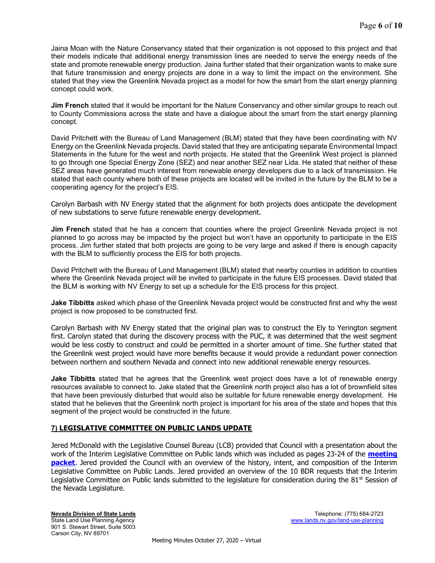Jaina Moan with the Nature Conservancy stated that their organization is not opposed to this project and that their models indicate that additional energy transmission lines are needed to serve the energy needs of the state and promote renewable energy production. Jaina further stated that their organization wants to make sure that future transmission and energy projects are done in a way to limit the impact on the environment. She stated that they view the Greenlink Nevada project as a model for how the smart from the start energy planning concept could work.

Jim French stated that it would be important for the Nature Conservancy and other similar groups to reach out to County Commissions across the state and have a dialogue about the smart from the start energy planning concept.

David Pritchett with the Bureau of Land Management (BLM) stated that they have been coordinating with NV Energy on the Greenlink Nevada projects. David stated that they are anticipating separate Environmental Impact Statements in the future for the west and north projects. He stated that the Greenlink West project is planned to go through one Special Energy Zone (SEZ) and near another SEZ near Lida. He stated that neither of these SEZ areas have generated much interest from renewable energy developers due to a lack of transmission. He stated that each county where both of these projects are located will be invited in the future by the BLM to be a cooperating agency for the project's EIS.

Carolyn Barbash with NV Energy stated that the alignment for both projects does anticipate the development of new substations to serve future renewable energy development.

**Jim French** stated that he has a concern that counties where the project Greenlink Nevada project is not planned to go across may be impacted by the project but won't have an opportunity to participate in the EIS process. Jim further stated that both projects are going to be very large and asked if there is enough capacity with the BLM to sufficiently process the EIS for both projects.

David Pritchett with the Bureau of Land Management (BLM) stated that nearby counties in addition to counties where the Greenlink Nevada project will be invited to participate in the future EIS processes. David stated that the BLM is working with NV Energy to set up a schedule for the EIS process for this project.

**Jake Tibbitts** asked which phase of the Greenlink Nevada project would be constructed first and why the west project is now proposed to be constructed first.

Carolyn Barbash with NV Energy stated that the original plan was to construct the Ely to Yerington segment first. Carolyn stated that during the discovery process with the PUC, it was determined that the west segment would be less costly to construct and could be permitted in a shorter amount of time. She further stated that the Greenlink west project would have more benefits because it would provide a redundant power connection between northern and southern Nevada and connect into new additional renewable energy resources.

Jake Tibbitts stated that he agrees that the Greenlink west project does have a lot of renewable energy resources available to connect to. Jake stated that the Greenlink north project also has a lot of brownfield sites that have been previously disturbed that would also be suitable for future renewable energy development. He stated that he believes that the Greenlink north project is important for his area of the state and hopes that this segment of the project would be constructed in the future.

# 7) LEGISLATIVE COMMITTEE ON PUBLIC LANDS UPDATE

Jered McDonald with the Legislative Counsel Bureau (LCB) provided that Council with a presentation about the work of the Interim Legislative Committee on Public lands which was included as pages 23-24 of the **meeting packet**. Jered provided the Council with an overview of the history, intent, and composition of the Interim Legislative Committee on Public Lands. Jered provided an overview of the 10 BDR requests that the Interim Legislative Committee on Public lands submitted to the legislature for consideration during the  $81^{st}$  Session of the Nevada Legislature.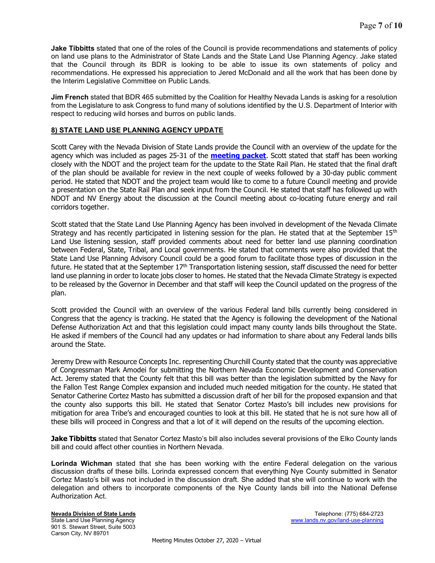Jake Tibbitts stated that one of the roles of the Council is provide recommendations and statements of policy on land use plans to the Administrator of State Lands and the State Land Use Planning Agency. Jake stated that the Council through its BDR is looking to be able to issue its own statements of policy and recommendations. He expressed his appreciation to Jered McDonald and all the work that has been done by the Interim Legislative Committee on Public Lands.

Jim French stated that BDR 465 submitted by the Coalition for Healthy Nevada Lands is asking for a resolution from the Legislature to ask Congress to fund many of solutions identified by the U.S. Department of Interior with respect to reducing wild horses and burros on public lands.

## 8) STATE LAND USE PLANNING AGENCY UPDATE

Scott Carey with the Nevada Division of State Lands provide the Council with an overview of the update for the agency which was included as pages 25-31 of the **[meeting packet](https://lands.nv.gov/uploads/meeting_minutes/E2021-100.pdf)**. Scott stated that staff has been working closely with the NDOT and the project team for the update to the State Rail Plan. He stated that the final draft of the plan should be available for review in the next couple of weeks followed by a 30-day public comment period. He stated that NDOT and the project team would like to come to a future Council meeting and provide a presentation on the State Rail Plan and seek input from the Council. He stated that staff has followed up with NDOT and NV Energy about the discussion at the Council meeting about co-locating future energy and rail corridors together.

Scott stated that the State Land Use Planning Agency has been involved in development of the Nevada Climate Strategy and has recently participated in listening session for the plan. He stated that at the September  $15<sup>th</sup>$ Land Use listening session, staff provided comments about need for better land use planning coordination between Federal, State, Tribal, and Local governments. He stated that comments were also provided that the State Land Use Planning Advisory Council could be a good forum to facilitate those types of discussion in the future. He stated that at the September  $17<sup>th</sup>$  Transportation listening session, staff discussed the need for better land use planning in order to locate jobs closer to homes. He stated that the Nevada Climate Strategy is expected to be released by the Governor in December and that staff will keep the Council updated on the progress of the plan.

Scott provided the Council with an overview of the various Federal land bills currently being considered in Congress that the agency is tracking. He stated that the Agency is following the development of the National Defense Authorization Act and that this legislation could impact many county lands bills throughout the State. He asked if members of the Council had any updates or had information to share about any Federal lands bills around the State.

Jeremy Drew with Resource Concepts Inc. representing Churchill County stated that the county was appreciative of Congressman Mark Amodei for submitting the Northern Nevada Economic Development and Conservation Act. Jeremy stated that the County felt that this bill was better than the legislation submitted by the Navy for the Fallon Test Range Complex expansion and included much needed mitigation for the county. He stated that Senator Catherine Cortez Masto has submitted a discussion draft of her bill for the proposed expansion and that the county also supports this bill. He stated that Senator Cortez Masto's bill includes new provisions for mitigation for area Tribe's and encouraged counties to look at this bill. He stated that he is not sure how all of these bills will proceed in Congress and that a lot of it will depend on the results of the upcoming election.

**Jake Tibbitts** stated that Senator Cortez Masto's bill also includes several provisions of the Elko County lands bill and could affect other counties in Northern Nevada.

Lorinda Wichman stated that she has been working with the entire Federal delegation on the various discussion drafts of these bills. Lorinda expressed concern that everything Nye County submitted in Senator Cortez Masto's bill was not included in the discussion draft. She added that she will continue to work with the delegation and others to incorporate components of the Nye County lands bill into the National Defense Authorization Act.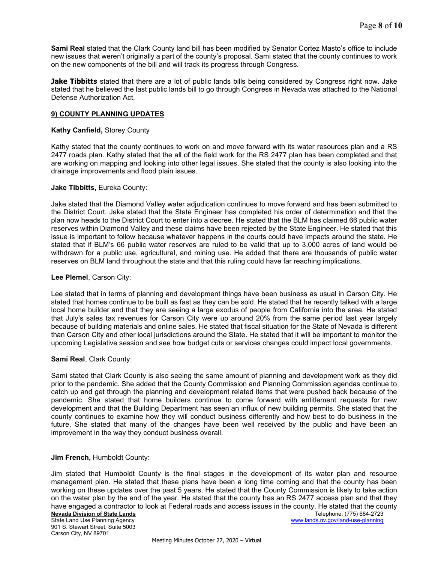Sami Real stated that the Clark County land bill has been modified by Senator Cortez Masto's office to include new issues that weren't originally a part of the county's proposal. Sami stated that the county continues to work on the new components of the bill and will track its progress through Congress.

**Jake Tibbitts** stated that there are a lot of public lands bills being considered by Congress right now. Jake stated that he believed the last public lands bill to go through Congress in Nevada was attached to the National Defense Authorization Act.

## 9) COUNTY PLANNING UPDATES

#### Kathy Canfield, Storey County

Kathy stated that the county continues to work on and move forward with its water resources plan and a RS 2477 roads plan. Kathy stated that the all of the field work for the RS 2477 plan has been completed and that are working on mapping and looking into other legal issues. She stated that the county is also looking into the drainage improvements and flood plain issues.

## Jake Tibbitts, Eureka County:

Jake stated that the Diamond Valley water adjudication continues to move forward and has been submitted to the District Court. Jake stated that the State Engineer has completed his order of determination and that the plan now heads to the District Court to enter into a decree. He stated that the BLM has claimed 66 public water reserves within Diamond Valley and these claims have been rejected by the State Engineer. He stated that this issue is important to follow because whatever happens in the courts could have impacts around the state. He stated that if BLM's 66 public water reserves are ruled to be valid that up to 3,000 acres of land would be withdrawn for a public use, agricultural, and mining use. He added that there are thousands of public water reserves on BLM land throughout the state and that this ruling could have far reaching implications.

## Lee Plemel, Carson City:

Lee stated that in terms of planning and development things have been business as usual in Carson City. He stated that homes continue to be built as fast as they can be sold. He stated that he recently talked with a large local home builder and that they are seeing a large exodus of people from California into the area. He stated that July's sales tax revenues for Carson City were up around 20% from the same period last year largely because of building materials and online sales. He stated that fiscal situation for the State of Nevada is different than Carson City and other local jurisdictions around the State. He stated that it will be important to monitor the upcoming Legislative session and see how budget cuts or services changes could impact local governments.

#### Sami Real, Clark County:

Sami stated that Clark County is also seeing the same amount of planning and development work as they did prior to the pandemic. She added that the County Commission and Planning Commission agendas continue to catch up and get through the planning and development related items that were pushed back because of the pandemic. She stated that home builders continue to come forward with entitlement requests for new development and that the Building Department has seen an influx of new building permits. She stated that the county continues to examine how they will conduct business differently and how best to do business in the future. She stated that many of the changes have been well received by the public and have been an improvement in the way they conduct business overall.

# Jim French, Humboldt County:

Jim stated that Humboldt County is the final stages in the development of its water plan and resource management plan. He stated that these plans have been a long time coming and that the county has been working on these updates over the past 5 years. He stated that the County Commission is likely to take action on the water plan by the end of the year. He stated that the county has an RS 2477 access plan and that they have engaged a contractor to look at Federal roads and access issues in the county. He stated that the county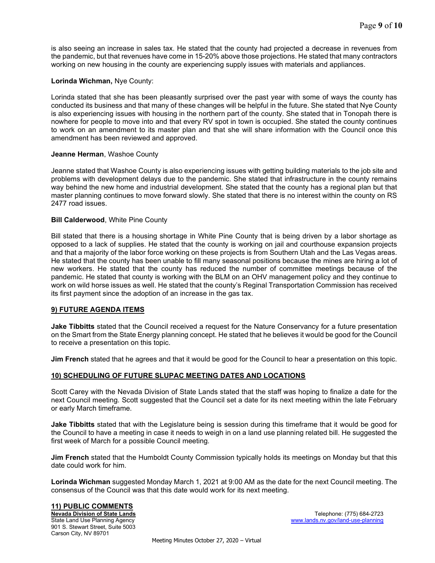is also seeing an increase in sales tax. He stated that the county had projected a decrease in revenues from the pandemic, but that revenues have come in 15-20% above those projections. He stated that many contractors working on new housing in the county are experiencing supply issues with materials and appliances.

## Lorinda Wichman, Nye County:

Lorinda stated that she has been pleasantly surprised over the past year with some of ways the county has conducted its business and that many of these changes will be helpful in the future. She stated that Nye County is also experiencing issues with housing in the northern part of the county. She stated that in Tonopah there is nowhere for people to move into and that every RV spot in town is occupied. She stated the county continues to work on an amendment to its master plan and that she will share information with the Council once this amendment has been reviewed and approved.

#### Jeanne Herman, Washoe County

Jeanne stated that Washoe County is also experiencing issues with getting building materials to the job site and problems with development delays due to the pandemic. She stated that infrastructure in the county remains way behind the new home and industrial development. She stated that the county has a regional plan but that master planning continues to move forward slowly. She stated that there is no interest within the county on RS 2477 road issues.

#### Bill Calderwood, White Pine County

Bill stated that there is a housing shortage in White Pine County that is being driven by a labor shortage as opposed to a lack of supplies. He stated that the county is working on jail and courthouse expansion projects and that a majority of the labor force working on these projects is from Southern Utah and the Las Vegas areas. He stated that the county has been unable to fill many seasonal positions because the mines are hiring a lot of new workers. He stated that the county has reduced the number of committee meetings because of the pandemic. He stated that county is working with the BLM on an OHV management policy and they continue to work on wild horse issues as well. He stated that the county's Reginal Transportation Commission has received its first payment since the adoption of an increase in the gas tax.

#### 9) FUTURE AGENDA ITEMS

**Jake Tibbitts** stated that the Council received a request for the Nature Conservancy for a future presentation on the Smart from the State Energy planning concept. He stated that he believes it would be good for the Council to receive a presentation on this topic.

Jim French stated that he agrees and that it would be good for the Council to hear a presentation on this topic.

#### 10) SCHEDULING OF FUTURE SLUPAC MEETING DATES AND LOCATIONS

Scott Carey with the Nevada Division of State Lands stated that the staff was hoping to finalize a date for the next Council meeting. Scott suggested that the Council set a date for its next meeting within the late February or early March timeframe.

Jake Tibbitts stated that with the Legislature being is session during this timeframe that it would be good for the Council to have a meeting in case it needs to weigh in on a land use planning related bill. He suggested the first week of March for a possible Council meeting.

Jim French stated that the Humboldt County Commission typically holds its meetings on Monday but that this date could work for him.

Lorinda Wichman suggested Monday March 1, 2021 at 9:00 AM as the date for the next Council meeting. The consensus of the Council was that this date would work for its next meeting.

#### 11) PUBLIC COMMENTS

901 S. Stewart Street, Suite 5003 Carson City, NV 89701